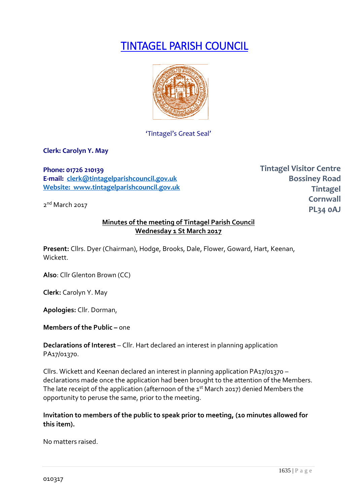# TINTAGEL PARISH COUNCIL



'Tintagel's Great Seal'

**Clerk: Carolyn Y. May**

**Phone: 01726 210139 E-mail: [clerk@tintagelparishcouncil.gov.uk](mailto:clerk@tintagelparishcouncil.gov.uk) Website: www.tintagelparishcouncil.gov.uk**

2<sup>nd</sup> March 2017

**Tintagel Visitor Centre Bossiney Road Tintagel Cornwall PL34 0AJ**

#### **Minutes of the meeting of Tintagel Parish Council Wednesday 1 St March 2017**

**Present:** Cllrs. Dyer (Chairman), Hodge, Brooks, Dale, Flower, Goward, Hart, Keenan, Wickett.

**Also**: Cllr Glenton Brown (CC)

**Clerk:** Carolyn Y. May

**Apologies:** Cllr. Dorman,

## **Members of the Public – one**

**Declarations of Interest** – Cllr. Hart declared an interest in planning application PA17/01370.

Cllrs. Wickett and Keenan declared an interest in planning application PA17/01370 – declarations made once the application had been brought to the attention of the Members. The late receipt of the application (afternoon of the  $1<sup>st</sup>$  March 2017) denied Members the opportunity to peruse the same, prior to the meeting.

**Invitation to members of the public to speak prior to meeting, (10 minutes allowed for this item).**

No matters raised.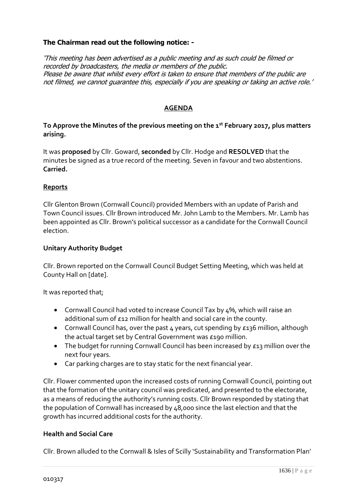# **The Chairman read out the following notice: -**

'This meeting has been advertised as a public meeting and as such could be filmed or recorded by broadcasters, the media or members of the public. Please be aware that whilst every effort is taken to ensure that members of the public are not filmed, we cannot guarantee this, especially if you are speaking or taking an active role.'

# **AGENDA**

# **To Approve the Minutes of the previous meeting on the 1st February 2017, plus matters arising.**

It was **proposed** by Cllr. Goward, **seconded** by Cllr. Hodge and **RESOLVED** that the minutes be signed as a true record of the meeting. Seven in favour and two abstentions. **Carried.**

# **Reports**

Cllr Glenton Brown (Cornwall Council) provided Members with an update of Parish and Town Council issues. Cllr Brown introduced Mr. John Lamb to the Members. Mr. Lamb has been appointed as Cllr. Brown's political successor as a candidate for the Cornwall Council election.

# **Unitary Authority Budget**

Cllr. Brown reported on the Cornwall Council Budget Setting Meeting, which was held at County Hall on [date].

It was reported that;

- Cornwall Council had voted to increase Council Tax by 4%, which will raise an additional sum of £12 million for health and social care in the county.
- Cornwall Council has, over the past 4 years, cut spending by £136 million, although the actual target set by Central Government was £190 million.
- The budget for running Cornwall Council has been increased by £13 million over the next four years.
- Car parking charges are to stay static for the next financial year.

Cllr. Flower commented upon the increased costs of running Cornwall Council, pointing out that the formation of the unitary council was predicated, and presented to the electorate, as a means of reducing the authority's running costs. Cllr Brown responded by stating that the population of Cornwall has increased by 48,000 since the last election and that the growth has incurred additional costs for the authority.

## **Health and Social Care**

Cllr. Brown alluded to the Cornwall & Isles of Scilly 'Sustainability and Transformation Plan'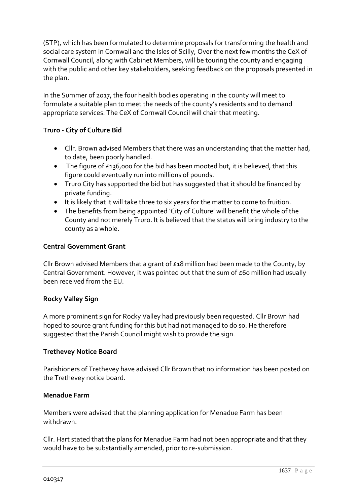(STP), which has been formulated to determine proposals for transforming the health and social care system in Cornwall and the Isles of Scilly, Over the next few months the CeX of Cornwall Council, along with Cabinet Members, will be touring the county and engaging with the public and other key stakeholders, seeking feedback on the proposals presented in the plan.

In the Summer of 2017, the four health bodies operating in the county will meet to formulate a suitable plan to meet the needs of the county's residents and to demand appropriate services. The CeX of Cornwall Council will chair that meeting.

# **Truro - City of Culture Bid**

- Cllr. Brown advised Members that there was an understanding that the matter had, to date, been poorly handled.
- The figure of £136,000 for the bid has been mooted but, it is believed, that this figure could eventually run into millions of pounds.
- Truro City has supported the bid but has suggested that it should be financed by private funding.
- It is likely that it will take three to six years for the matter to come to fruition.
- The benefits from being appointed 'City of Culture' will benefit the whole of the County and not merely Truro. It is believed that the status will bring industry to the county as a whole.

## **Central Government Grant**

Cllr Brown advised Members that a grant of £18 million had been made to the County, by Central Government. However, it was pointed out that the sum of £60 million had usually been received from the EU.

## **Rocky Valley Sign**

A more prominent sign for Rocky Valley had previously been requested. Cllr Brown had hoped to source grant funding for this but had not managed to do so. He therefore suggested that the Parish Council might wish to provide the sign.

## **Trethevey Notice Board**

Parishioners of Trethevey have advised Cllr Brown that no information has been posted on the Trethevey notice board.

## **Menadue Farm**

Members were advised that the planning application for Menadue Farm has been withdrawn.

Cllr. Hart stated that the plans for Menadue Farm had not been appropriate and that they would have to be substantially amended, prior to re-submission.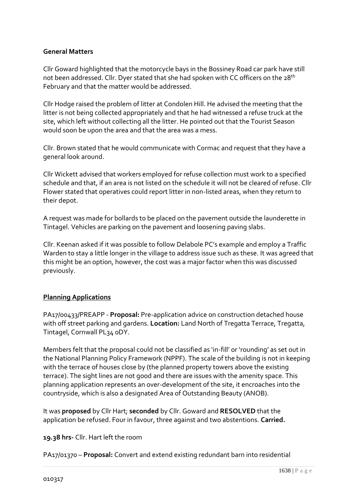# **General Matters**

Cllr Goward highlighted that the motorcycle bays in the Bossiney Road car park have still not been addressed. Cllr. Dyer stated that she had spoken with CC officers on the 28<sup>th</sup> February and that the matter would be addressed.

Cllr Hodge raised the problem of litter at Condolen Hill. He advised the meeting that the litter is not being collected appropriately and that he had witnessed a refuse truck at the site, which left without collecting all the litter. He pointed out that the Tourist Season would soon be upon the area and that the area was a mess.

Cllr. Brown stated that he would communicate with Cormac and request that they have a general look around.

Cllr Wickett advised that workers employed for refuse collection must work to a specified schedule and that, if an area is not listed on the schedule it will not be cleared of refuse. Cllr Flower stated that operatives could report litter in non-listed areas, when they return to their depot.

A request was made for bollards to be placed on the pavement outside the launderette in Tintagel. Vehicles are parking on the pavement and loosening paving slabs.

Cllr. Keenan asked if it was possible to follow Delabole PC's example and employ a Traffic Warden to stay a little longer in the village to address issue such as these. It was agreed that this might be an option, however, the cost was a major factor when this was discussed previously.

## **Planning Applications**

PA17/00433/PREAPP - **Proposal:** Pre-application advice on construction detached house with off street parking and gardens. **Location:** Land North of Tregatta Terrace, Tregatta, Tintagel, Cornwall PL34 0DY.

Members felt that the proposal could not be classified as 'in-fill' or 'rounding' as set out in the National Planning Policy Framework (NPPF). The scale of the building is not in keeping with the terrace of houses close by (the planned property towers above the existing terrace). The sight lines are not good and there are issues with the amenity space. This planning application represents an over-development of the site, it encroaches into the countryside, which is also a designated Area of Outstanding Beauty (ANOB).

It was **proposed** by Cllr Hart; **seconded** by Cllr. Goward and **RESOLVED** that the application be refused. Four in favour, three against and two abstentions. **Carried.**

**19.38 hrs-** Cllr. Hart left the room

PA17/01370 – **Proposal:** Convert and extend existing redundant barn into residential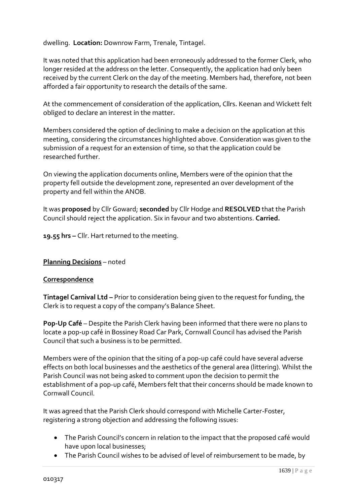dwelling. **Location:** Downrow Farm, Trenale, Tintagel.

It was noted that this application had been erroneously addressed to the former Clerk, who longer resided at the address on the letter. Consequently, the application had only been received by the current Clerk on the day of the meeting. Members had, therefore, not been afforded a fair opportunity to research the details of the same.

At the commencement of consideration of the application, Cllrs. Keenan and Wickett felt obliged to declare an interest in the matter.

Members considered the option of declining to make a decision on the application at this meeting, considering the circumstances highlighted above. Consideration was given to the submission of a request for an extension of time, so that the application could be researched further.

On viewing the application documents online, Members were of the opinion that the property fell outside the development zone, represented an over development of the property and fell within the ANOB.

It was **proposed** by Cllr Goward; **seconded** by Cllr Hodge and **RESOLVED** that the Parish Council should reject the application. Six in favour and two abstentions. **Carried.**

**19.55 hrs –** Cllr. Hart returned to the meeting.

## **Planning Decisions** – noted

#### **Correspondence**

**Tintagel Carnival Ltd –** Prior to consideration being given to the request for funding, the Clerk is to request a copy of the company's Balance Sheet.

**Pop-Up Café** – Despite the Parish Clerk having been informed that there were no plans to locate a pop-up café in Bossiney Road Car Park, Cornwall Council has advised the Parish Council that such a business is to be permitted.

Members were of the opinion that the siting of a pop-up café could have several adverse effects on both local businesses and the aesthetics of the general area (littering). Whilst the Parish Council was not being asked to comment upon the decision to permit the establishment of a pop-up café, Members felt that their concerns should be made known to Cornwall Council.

It was agreed that the Parish Clerk should correspond with Michelle Carter-Foster, registering a strong objection and addressing the following issues:

- The Parish Council's concern in relation to the impact that the proposed café would have upon local businesses;
- The Parish Council wishes to be advised of level of reimbursement to be made, by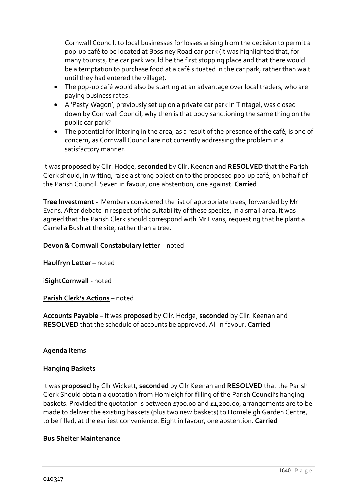Cornwall Council, to local businesses for losses arising from the decision to permit a pop-up café to be located at Bossiney Road car park (it was highlighted that, for many tourists, the car park would be the first stopping place and that there would be a temptation to purchase food at a café situated in the car park, rather than wait until they had entered the village).

- The pop-up café would also be starting at an advantage over local traders, who are paying business rates.
- A 'Pasty Wagon', previously set up on a private car park in Tintagel, was closed down by Cornwall Council, why then is that body sanctioning the same thing on the public car park?
- The potential for littering in the area, as a result of the presence of the café, is one of concern, as Cornwall Council are not currently addressing the problem in a satisfactory manner.

It was **proposed** by Cllr. Hodge, **seconded** by Cllr. Keenan and **RESOLVED** that the Parish Clerk should, in writing, raise a strong objection to the proposed pop-up café, on behalf of the Parish Council. Seven in favour, one abstention, one against. **Carried**

**Tree Investment -** Members considered the list of appropriate trees, forwarded by Mr Evans. After debate in respect of the suitability of these species, in a small area. It was agreed that the Parish Clerk should correspond with Mr Evans, requesting that he plant a Camelia Bush at the site, rather than a tree.

**Devon & Cornwall Constabulary letter** – noted

**Haulfryn Letter** – noted

i**SightCornwall** - noted

**Parish Clerk's Actions** – noted

**Accounts Payable** – It was **proposed** by Cllr. Hodge, **seconded** by Cllr. Keenan and **RESOLVED** that the schedule of accounts be approved. All in favour. **Carried**

## **Agenda Items**

#### **Hanging Baskets**

It was **proposed** by Cllr Wickett, **seconded** by Cllr Keenan and **RESOLVED** that the Parish Clerk Should obtain a quotation from Homleigh for filling of the Parish Council's hanging baskets. Provided the quotation is between £700.00 and £1,200.00, arrangements are to be made to deliver the existing baskets (plus two new baskets) to Homeleigh Garden Centre, to be filled, at the earliest convenience. Eight in favour, one abstention. **Carried**

#### **Bus Shelter Maintenance**